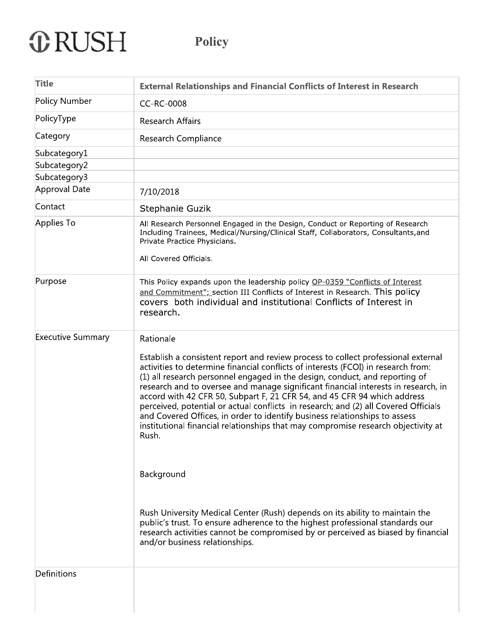# **ORUSH**

| <b>Title</b>             | <b>External Relationships and Financial Conflicts of Interest in Research</b>                                                                                                                                                                                                                                                                                                                                                                                                                                                                                                                                                                                                              |
|--------------------------|--------------------------------------------------------------------------------------------------------------------------------------------------------------------------------------------------------------------------------------------------------------------------------------------------------------------------------------------------------------------------------------------------------------------------------------------------------------------------------------------------------------------------------------------------------------------------------------------------------------------------------------------------------------------------------------------|
| Policy Number            | CC-RC-0008                                                                                                                                                                                                                                                                                                                                                                                                                                                                                                                                                                                                                                                                                 |
| PolicyType               | <b>Research Affairs</b>                                                                                                                                                                                                                                                                                                                                                                                                                                                                                                                                                                                                                                                                    |
| Category                 | Research Compliance                                                                                                                                                                                                                                                                                                                                                                                                                                                                                                                                                                                                                                                                        |
| Subcategory1             |                                                                                                                                                                                                                                                                                                                                                                                                                                                                                                                                                                                                                                                                                            |
| Subcategory2             |                                                                                                                                                                                                                                                                                                                                                                                                                                                                                                                                                                                                                                                                                            |
| Subcategory3             |                                                                                                                                                                                                                                                                                                                                                                                                                                                                                                                                                                                                                                                                                            |
| Approval Date            | 7/10/2018                                                                                                                                                                                                                                                                                                                                                                                                                                                                                                                                                                                                                                                                                  |
| Contact                  | Stephanie Guzik                                                                                                                                                                                                                                                                                                                                                                                                                                                                                                                                                                                                                                                                            |
| Applies To               | All Research Personnel Engaged in the Design, Conduct or Reporting of Research<br>Including Trainees, Medical/Nursing/Clinical Staff, Collaborators, Consultants, and<br>Private Practice Physicians.<br>All Covered Officials.                                                                                                                                                                                                                                                                                                                                                                                                                                                            |
| Purpose                  | This Policy expands upon the leadership policy OP-0359 "Conflicts of Interest<br>and Commitment"; section III Conflicts of Interest in Research. This policy<br>covers both individual and institutional Conflicts of Interest in<br>research.                                                                                                                                                                                                                                                                                                                                                                                                                                             |
| <b>Executive Summary</b> | Rationale                                                                                                                                                                                                                                                                                                                                                                                                                                                                                                                                                                                                                                                                                  |
|                          | Establish a consistent report and review process to collect professional external<br>activities to determine financial conflicts of interests (FCOI) in research from:<br>(1) all research personnel engaged in the design, conduct, and reporting of<br>research and to oversee and manage significant financial interests in research, in<br>accord with 42 CFR 50, Subpart F, 21 CFR 54, and 45 CFR 94 which address<br>perceived, potential or actual conflicts in research; and (2) all Covered Officials<br>and Covered Offices, in order to identify business relationships to assess<br>institutional financial relationships that may compromise research objectivity at<br>Rush. |
|                          | Background                                                                                                                                                                                                                                                                                                                                                                                                                                                                                                                                                                                                                                                                                 |
|                          | Rush University Medical Center (Rush) depends on its ability to maintain the<br>public's trust. To ensure adherence to the highest professional standards our<br>research activities cannot be compromised by or perceived as biased by financial<br>and/or business relationships.                                                                                                                                                                                                                                                                                                                                                                                                        |
| Definitions              |                                                                                                                                                                                                                                                                                                                                                                                                                                                                                                                                                                                                                                                                                            |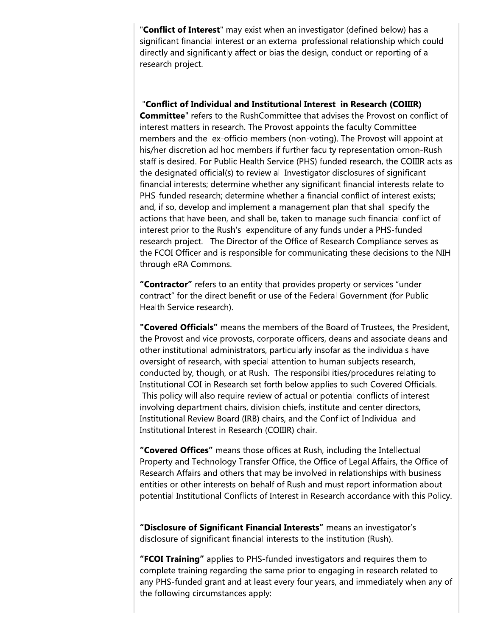"Conflict of Interest" may exist when an investigator (defined below) has a significant financial interest or an external professional relationship which could directly and significantly affect or bias the design, conduct or reporting of a research project.

# "Conflict of Individual and Institutional Interest in Research (COIIIR)

**Committee**" refers to the RushCommittee that advises the Provost on conflict of interest matters in research. The Provost appoints the faculty Committee members and the ex-officio members (non-voting). The Provost will appoint at his/her discretion ad hoc members if further faculty representation ornon-Rush staff is desired. For Public Health Service (PHS) funded research, the COIIIR acts as the designated official(s) to review all Investigator disclosures of significant financial interests; determine whether any significant financial interests relate to PHS-funded research; determine whether a financial conflict of interest exists; and, if so, develop and implement a management plan that shall specify the actions that have been, and shall be, taken to manage such financial conflict of interest prior to the Rush's expenditure of any funds under a PHS-funded research project. The Director of the Office of Research Compliance serves as the FCOI Officer and is responsible for communicating these decisions to the NIH through eRA Commons.

"Contractor" refers to an entity that provides property or services "under contract" for the direct benefit or use of the Federal Government (for Public Health Service research).

"Covered Officials" means the members of the Board of Trustees, the President, the Provost and vice provosts, corporate officers, deans and associate deans and other institutional administrators, particularly insofar as the individuals have oversight of research, with special attention to human subjects research, conducted by, though, or at Rush. The responsibilities/procedures relating to Institutional COI in Research set forth below applies to such Covered Officials. This policy will also require review of actual or potential conflicts of interest involving department chairs, division chiefs, institute and center directors, Institutional Review Board (IRB) chairs, and the Conflict of Individual and Institutional Interest in Research (COIIIR) chair.

"Covered Offices" means those offices at Rush, including the Intellectual Property and Technology Transfer Office, the Office of Legal Affairs, the Office of Research Affairs and others that may be involved in relationships with business entities or other interests on behalf of Rush and must report information about potential Institutional Conflicts of Interest in Research accordance with this Policy.

"Disclosure of Significant Financial Interests" means an investigator's disclosure of significant financial interests to the institution (Rush).

"FCOI Training" applies to PHS-funded investigators and requires them to complete training regarding the same prior to engaging in research related to any PHS-funded grant and at least every four years, and immediately when any of the following circumstances apply: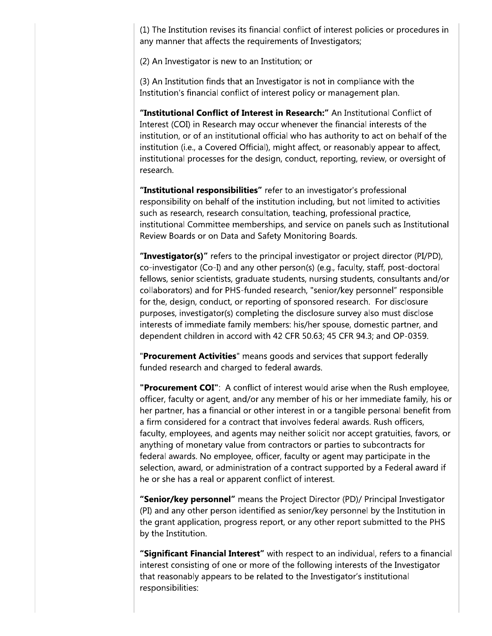(1) The Institution revises its financial conflict of interest policies or procedures in any manner that affects the requirements of Investigators;

(2) An Investigator is new to an Institution; or

(3) An Institution finds that an Investigator is not in compliance with the Institution's financial conflict of interest policy or management plan.

"Institutional Conflict of Interest in Research:" An Institutional Conflict of Interest (COI) in Research may occur whenever the financial interests of the institution, or of an institutional official who has authority to act on behalf of the institution (i.e., a Covered Official), might affect, or reasonably appear to affect, institutional processes for the design, conduct, reporting, review, or oversight of research.

"Institutional responsibilities" refer to an investigator's professional responsibility on behalf of the institution including, but not limited to activities such as research, research consultation, teaching, professional practice, institutional Committee memberships, and service on panels such as Institutional Review Boards or on Data and Safety Monitoring Boards.

"Investigator(s)" refers to the principal investigator or project director (PI/PD), co-investigator (Co-I) and any other person(s) (e.g., faculty, staff, post-doctoral fellows, senior scientists, graduate students, nursing students, consultants and/or collaborators) and for PHS-funded research, "senior/key personnel" responsible for the, design, conduct, or reporting of sponsored research. For disclosure purposes, investigator(s) completing the disclosure survey also must disclose interests of immediate family members: his/her spouse, domestic partner, and dependent children in accord with 42 CFR 50.63; 45 CFR 94.3; and OP-0359.

"Procurement Activities" means goods and services that support federally funded research and charged to federal awards.

"Procurement COI": A conflict of interest would arise when the Rush employee, officer, faculty or agent, and/or any member of his or her immediate family, his or her partner, has a financial or other interest in or a tangible personal benefit from a firm considered for a contract that involves federal awards. Rush officers, faculty, employees, and agents may neither solicit nor accept gratuities, favors, or anything of monetary value from contractors or parties to subcontracts for federal awards. No employee, officer, faculty or agent may participate in the selection, award, or administration of a contract supported by a Federal award if he or she has a real or apparent conflict of interest.

"Senior/key personnel" means the Project Director (PD)/ Principal Investigator (PI) and any other person identified as senior/key personnel by the Institution in the grant application, progress report, or any other report submitted to the PHS by the Institution.

"Significant Financial Interest" with respect to an individual, refers to a financial interest consisting of one or more of the following interests of the Investigator that reasonably appears to be related to the Investigator's institutional responsibilities: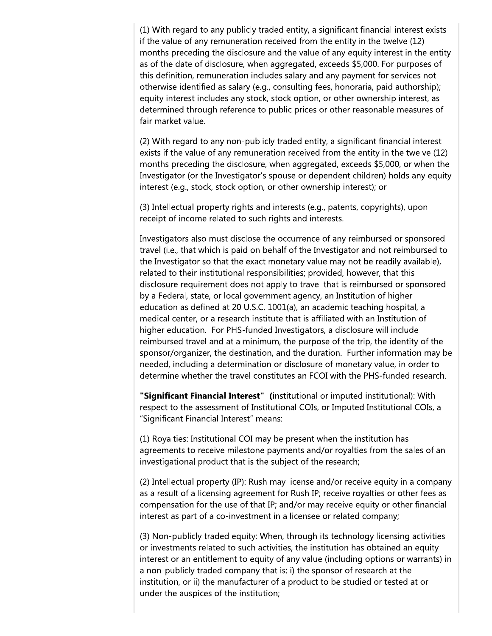(1) With regard to any publicly traded entity, a significant financial interest exists if the value of any remuneration received from the entity in the twelve (12) months preceding the disclosure and the value of any equity interest in the entity as of the date of disclosure, when aggregated, exceeds \$5,000. For purposes of this definition, remuneration includes salary and any payment for services not otherwise identified as salary (e.g., consulting fees, honoraria, paid authorship); equity interest includes any stock, stock option, or other ownership interest, as determined through reference to public prices or other reasonable measures of fair market value.

(2) With regard to any non-publicly traded entity, a significant financial interest exists if the value of any remuneration received from the entity in the twelve (12) months preceding the disclosure, when aggregated, exceeds \$5,000, or when the Investigator (or the Investigator's spouse or dependent children) holds any equity interest (e.g., stock, stock option, or other ownership interest); or

(3) Intellectual property rights and interests (e.g., patents, copyrights), upon receipt of income related to such rights and interests.

Investigators also must disclose the occurrence of any reimbursed or sponsored travel (i.e., that which is paid on behalf of the Investigator and not reimbursed to the Investigator so that the exact monetary value may not be readily available), related to their institutional responsibilities; provided, however, that this disclosure requirement does not apply to travel that is reimbursed or sponsored by a Federal, state, or local government agency, an Institution of higher education as defined at 20 U.S.C. 1001(a), an academic teaching hospital, a medical center, or a research institute that is affiliated with an Institution of higher education. For PHS-funded Investigators, a disclosure will include reimbursed travel and at a minimum, the purpose of the trip, the identity of the sponsor/organizer, the destination, and the duration. Further information may be needed, including a determination or disclosure of monetary value, in order to determine whether the travel constitutes an FCOI with the PHS-funded research.

"Significant Financial Interest" (institutional or imputed institutional): With respect to the assessment of Institutional COIs, or Imputed Institutional COIs, a "Significant Financial Interest" means:

(1) Royalties: Institutional COI may be present when the institution has agreements to receive milestone payments and/or royalties from the sales of an investigational product that is the subject of the research;

(2) Intellectual property (IP): Rush may license and/or receive equity in a company as a result of a licensing agreement for Rush IP; receive royalties or other fees as compensation for the use of that IP; and/or may receive equity or other financial interest as part of a co-investment in a licensee or related company;

(3) Non-publicly traded equity: When, through its technology licensing activities or investments related to such activities, the institution has obtained an equity interest or an entitlement to equity of any value (including options or warrants) in a non-publicly traded company that is: i) the sponsor of research at the institution, or ii) the manufacturer of a product to be studied or tested at or under the auspices of the institution;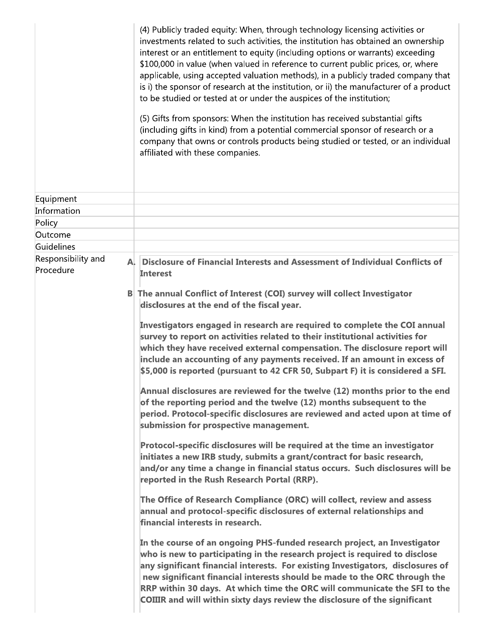|                       | (4) Publicly traded equity: When, through technology licensing activities or<br>investments related to such activities, the institution has obtained an ownership<br>interest or an entitlement to equity (including options or warrants) exceeding<br>\$100,000 in value (when valued in reference to current public prices, or, where<br>applicable, using accepted valuation methods), in a publicly traded company that<br>is i) the sponsor of research at the institution, or ii) the manufacturer of a product<br>to be studied or tested at or under the auspices of the institution;<br>(5) Gifts from sponsors: When the institution has received substantial gifts |
|-----------------------|-------------------------------------------------------------------------------------------------------------------------------------------------------------------------------------------------------------------------------------------------------------------------------------------------------------------------------------------------------------------------------------------------------------------------------------------------------------------------------------------------------------------------------------------------------------------------------------------------------------------------------------------------------------------------------|
|                       | (including gifts in kind) from a potential commercial sponsor of research or a<br>company that owns or controls products being studied or tested, or an individual<br>affiliated with these companies.                                                                                                                                                                                                                                                                                                                                                                                                                                                                        |
| Equipment             |                                                                                                                                                                                                                                                                                                                                                                                                                                                                                                                                                                                                                                                                               |
| Information           |                                                                                                                                                                                                                                                                                                                                                                                                                                                                                                                                                                                                                                                                               |
| Policy                |                                                                                                                                                                                                                                                                                                                                                                                                                                                                                                                                                                                                                                                                               |
| Outcome<br>Guidelines |                                                                                                                                                                                                                                                                                                                                                                                                                                                                                                                                                                                                                                                                               |
| Responsibility and    |                                                                                                                                                                                                                                                                                                                                                                                                                                                                                                                                                                                                                                                                               |
| Procedure             | Disclosure of Financial Interests and Assessment of Individual Conflicts of<br>A.<br><b>Interest</b>                                                                                                                                                                                                                                                                                                                                                                                                                                                                                                                                                                          |
|                       | The annual Conflict of Interest (COI) survey will collect Investigator<br> B <br>disclosures at the end of the fiscal year.                                                                                                                                                                                                                                                                                                                                                                                                                                                                                                                                                   |
|                       | Investigators engaged in research are required to complete the COI annual<br>survey to report on activities related to their institutional activities for<br>which they have received external compensation. The disclosure report will<br>include an accounting of any payments received. If an amount in excess of<br>\$5,000 is reported (pursuant to 42 CFR 50, Subpart F) it is considered a SFI.                                                                                                                                                                                                                                                                        |
|                       | Annual disclosures are reviewed for the twelve (12) months prior to the end<br>of the reporting period and the twelve (12) months subsequent to the<br>period. Protocol-specific disclosures are reviewed and acted upon at time of<br>submission for prospective management.                                                                                                                                                                                                                                                                                                                                                                                                 |
|                       | Protocol-specific disclosures will be required at the time an investigator<br>initiates a new IRB study, submits a grant/contract for basic research,<br>and/or any time a change in financial status occurs. Such disclosures will be<br>reported in the Rush Research Portal (RRP).                                                                                                                                                                                                                                                                                                                                                                                         |
|                       | The Office of Research Compliance (ORC) will collect, review and assess<br>annual and protocol-specific disclosures of external relationships and<br>financial interests in research.                                                                                                                                                                                                                                                                                                                                                                                                                                                                                         |
|                       | In the course of an ongoing PHS-funded research project, an Investigator<br>who is new to participating in the research project is required to disclose<br>any significant financial interests. For existing Investigators, disclosures of<br>new significant financial interests should be made to the ORC through the<br>RRP within 30 days. At which time the ORC will communicate the SFI to the<br><b>COIIIR and will within sixty days review the disclosure of the significant</b>                                                                                                                                                                                     |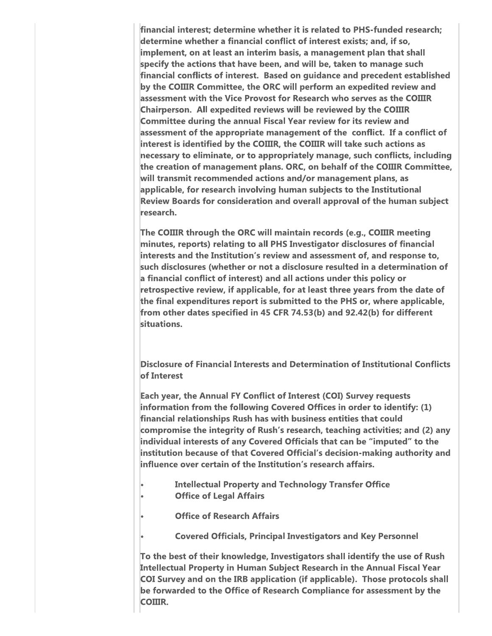financial interest; determine whether it is related to PHS-funded research; determine whether a financial conflict of interest exists; and, if so, implement, on at least an interim basis, a management plan that shall specify the actions that have been, and will be, taken to manage such financial conflicts of interest. Based on guidance and precedent established by the COIIIR Committee, the ORC will perform an expedited review and assessment with the Vice Provost for Research who serves as the COIIIR Chairperson. All expedited reviews will be reviewed by the COIIIR Committee during the annual Fiscal Year review for its review and assessment of the appropriate management of the conflict. If a conflict of interest is identified by the COIIIR, the COIIIR will take such actions as necessary to eliminate, or to appropriately manage, such conflicts, including the creation of management plans. ORC, on behalf of the COIIIR Committee, will transmit recommended actions and/or management plans, as applicable, for research involving human subjects to the Institutional Review Boards for consideration and overall approval of the human subject research.

The COIIIR through the ORC will maintain records (e.g., COIIIR meeting minutes, reports) relating to all PHS Investigator disclosures of financial interests and the Institution's review and assessment of, and response to, such disclosures (whether or not a disclosure resulted in a determination of a financial conflict of interest) and all actions under this policy or retrospective review, if applicable, for at least three years from the date of the final expenditures report is submitted to the PHS or, where applicable, from other dates specified in 45 CFR 74.53(b) and 92.42(b) for different situations.

Disclosure of Financial Interests and Determination of Institutional Conflicts of Interest

Each year, the Annual FY Conflict of Interest (COI) Survey requests information from the following Covered Offices in order to identify: (1) financial relationships Rush has with business entities that could compromise the integrity of Rush's research, teaching activities; and (2) any individual interests of any Covered Officials that can be "imputed" to the institution because of that Covered Official's decision-making authority and influence over certain of the Institution's research affairs.

- **Intellectual Property and Technology Transfer Office**
- **Office of Legal Affairs** 
	- **Office of Research Affairs**
	- **Covered Officials, Principal Investigators and Key Personnel**

To the best of their knowledge, Investigators shall identify the use of Rush Intellectual Property in Human Subject Research in the Annual Fiscal Year COI Survey and on the IRB application (if applicable). Those protocols shall be forwarded to the Office of Research Compliance for assessment by the COIIIR.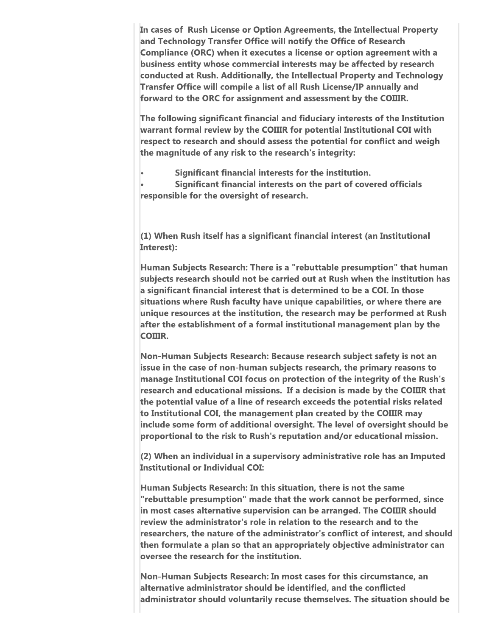In cases of Rush License or Option Agreements, the Intellectual Property and Technology Transfer Office will notify the Office of Research Compliance (ORC) when it executes a license or option agreement with a business entity whose commercial interests may be affected by research conducted at Rush. Additionally, the Intellectual Property and Technology Transfer Office will compile a list of all Rush License/IP annually and forward to the ORC for assignment and assessment by the COIIIR.

The following significant financial and fiduciary interests of the Institution warrant formal review by the COIIIR for potential Institutional COI with respect to research and should assess the potential for conflict and weigh the magnitude of any risk to the research's integrity:

Significant financial interests for the institution.

Significant financial interests on the part of covered officials responsible for the oversight of research.

 $(1)$  When Rush itself has a significant financial interest (an Institutional Interest):

Human Subjects Research: There is a "rebuttable presumption" that human subjects research should not be carried out at Rush when the institution has a significant financial interest that is determined to be a COI. In those situations where Rush faculty have unique capabilities, or where there are unique resources at the institution, the research may be performed at Rush after the establishment of a formal institutional management plan by the COIIIR.

Non-Human Subjects Research: Because research subject safety is not an issue in the case of non-human subjects research, the primary reasons to manage Institutional COI focus on protection of the integrity of the Rush's research and educational missions. If a decision is made by the COIIIR that the potential value of a line of research exceeds the potential risks related to Institutional COI, the management plan created by the COIIIR may include some form of additional oversight. The level of oversight should be proportional to the risk to Rush's reputation and/or educational mission.

(2) When an individual in a supervisory administrative role has an Imputed **Institutional or Individual COI:** 

Human Subjects Research: In this situation, there is not the same "rebuttable presumption" made that the work cannot be performed, since in most cases alternative supervision can be arranged. The COIIIR should review the administrator's role in relation to the research and to the researchers, the nature of the administrator's conflict of interest, and should then formulate a plan so that an appropriately objective administrator can oversee the research for the institution.

Non-Human Subjects Research: In most cases for this circumstance, an alternative administrator should be identified, and the conflicted administrator should voluntarily recuse themselves. The situation should be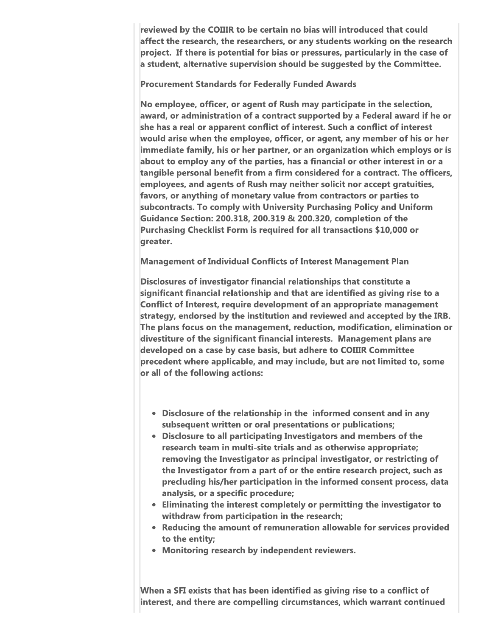reviewed by the COIIIR to be certain no bias will introduced that could affect the research, the researchers, or any students working on the research project. If there is potential for bias or pressures, particularly in the case of a student, alternative supervision should be suggested by the Committee.

**Procurement Standards for Federally Funded Awards** 

No employee, officer, or agent of Rush may participate in the selection, award, or administration of a contract supported by a Federal award if he or she has a real or apparent conflict of interest. Such a conflict of interest would arise when the employee, officer, or agent, any member of his or her immediate family, his or her partner, or an organization which employs or is about to employ any of the parties, has a financial or other interest in or a tangible personal benefit from a firm considered for a contract. The officers, employees, and agents of Rush may neither solicit nor accept gratuities, favors, or anything of monetary value from contractors or parties to subcontracts. To comply with University Purchasing Policy and Uniform Guidance Section: 200.318, 200.319 & 200.320, completion of the Purchasing Checklist Form is required for all transactions \$10,000 or greater.

**Management of Individual Conflicts of Interest Management Plan** 

Disclosures of investigator financial relationships that constitute a significant financial relationship and that are identified as giving rise to a Conflict of Interest, require development of an appropriate management strategy, endorsed by the institution and reviewed and accepted by the IRB. The plans focus on the management, reduction, modification, elimination or divestiture of the significant financial interests. Management plans are developed on a case by case basis, but adhere to COIIIR Committee precedent where applicable, and may include, but are not limited to, some or all of the following actions:

- Disclosure of the relationship in the informed consent and in any subsequent written or oral presentations or publications;
- Disclosure to all participating Investigators and members of the research team in multi-site trials and as otherwise appropriate; removing the Investigator as principal investigator, or restricting of the Investigator from a part of or the entire research project, such as precluding his/her participation in the informed consent process, data analysis, or a specific procedure;
- Eliminating the interest completely or permitting the investigator to withdraw from participation in the research;
- Reducing the amount of remuneration allowable for services provided to the entity;
- Monitoring research by independent reviewers.

When a SFI exists that has been identified as giving rise to a conflict of interest, and there are compelling circumstances, which warrant continued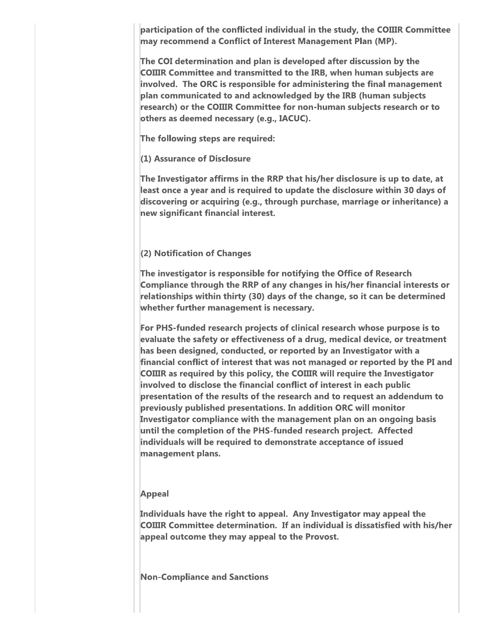participation of the conflicted individual in the study, the COIIIR Committee may recommend a Conflict of Interest Management Plan (MP).

The COI determination and plan is developed after discussion by the **COIIIR Committee and transmitted to the IRB, when human subjects are** involved. The ORC is responsible for administering the final management plan communicated to and acknowledged by the IRB (human subjects research) or the COIIIR Committee for non-human subjects research or to others as deemed necessary (e.g., IACUC).

The following steps are required:

(1) Assurance of Disclosure

The Investigator affirms in the RRP that his/her disclosure is up to date, at least once a year and is required to update the disclosure within 30 days of discovering or acquiring (e.g., through purchase, marriage or inheritance) a new significant financial interest.

### (2) Notification of Changes

The investigator is responsible for notifying the Office of Research Compliance through the RRP of any changes in his/her financial interests or relationships within thirty (30) days of the change, so it can be determined whether further management is necessary.

For PHS-funded research projects of clinical research whose purpose is to evaluate the safety or effectiveness of a drug, medical device, or treatment has been designed, conducted, or reported by an Investigator with a financial conflict of interest that was not managed or reported by the PI and COIIIR as required by this policy, the COIIIR will require the Investigator involved to disclose the financial conflict of interest in each public presentation of the results of the research and to request an addendum to previously published presentations. In addition ORC will monitor Investigator compliance with the management plan on an ongoing basis until the completion of the PHS-funded research project. Affected individuals will be required to demonstrate acceptance of issued management plans.

#### **Appeal**

Individuals have the right to appeal. Any Investigator may appeal the **COIIIR Committee determination. If an individual is dissatisfied with his/her** appeal outcome they may appeal to the Provost.

**Non-Compliance and Sanctions**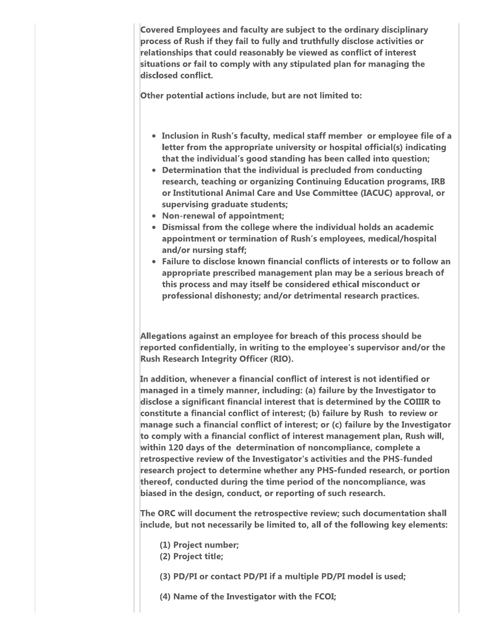Covered Employees and faculty are subject to the ordinary disciplinary process of Rush if they fail to fully and truthfully disclose activities or relationships that could reasonably be viewed as conflict of interest situations or fail to comply with any stipulated plan for managing the disclosed conflict.

Other potential actions include, but are not limited to:

- Inclusion in Rush's faculty, medical staff member or employee file of a letter from the appropriate university or hospital official(s) indicating that the individual's good standing has been called into question;
- Determination that the individual is precluded from conducting research, teaching or organizing Continuing Education programs, IRB or Institutional Animal Care and Use Committee (IACUC) approval, or supervising graduate students;
- Non-renewal of appointment;
- Dismissal from the college where the individual holds an academic appointment or termination of Rush's employees, medical/hospital and/or nursing staff;
- Failure to disclose known financial conflicts of interests or to follow an appropriate prescribed management plan may be a serious breach of this process and may itself be considered ethical misconduct or professional dishonesty; and/or detrimental research practices.

Allegations against an employee for breach of this process should be reported confidentially, in writing to the employee's supervisor and/or the **Rush Research Integrity Officer (RIO).** 

In addition, whenever a financial conflict of interest is not identified or managed in a timely manner, including: (a) failure by the Investigator to disclose a significant financial interest that is determined by the COIIIR to constitute a financial conflict of interest; (b) failure by Rush to review or manage such a financial conflict of interest; or (c) failure by the Investigator to comply with a financial conflict of interest management plan, Rush will, within 120 days of the determination of noncompliance, complete a retrospective review of the Investigator's activities and the PHS-funded research project to determine whether any PHS-funded research, or portion thereof, conducted during the time period of the noncompliance, was biased in the design, conduct, or reporting of such research.

The ORC will document the retrospective review; such documentation shall include, but not necessarily be limited to, all of the following key elements:

- (1) Project number;
- (2) Project title;
- (3) PD/PI or contact PD/PI if a multiple PD/PI model is used;
- (4) Name of the Investigator with the FCOI;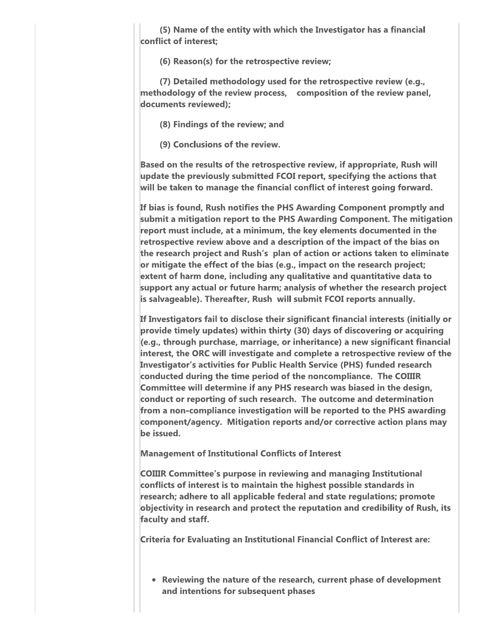(5) Name of the entity with which the Investigator has a financial conflict of interest;

(6) Reason(s) for the retrospective review;

(7) Detailed methodology used for the retrospective review (e.g., methodology of the review process, composition of the review panel, documents reviewed);

(8) Findings of the review; and

(9) Conclusions of the review.

Based on the results of the retrospective review, if appropriate, Rush will update the previously submitted FCOI report, specifying the actions that will be taken to manage the financial conflict of interest going forward.

If bias is found, Rush notifies the PHS Awarding Component promptly and submit a mitigation report to the PHS Awarding Component. The mitigation report must include, at a minimum, the key elements documented in the retrospective review above and a description of the impact of the bias on the research project and Rush's plan of action or actions taken to eliminate or mitigate the effect of the bias (e.g., impact on the research project; extent of harm done, including any qualitative and quantitative data to support any actual or future harm; analysis of whether the research project is salvageable). Thereafter, Rush will submit FCOI reports annually.

If Investigators fail to disclose their significant financial interests (initially or provide timely updates) within thirty (30) days of discovering or acquiring (e.g., through purchase, marriage, or inheritance) a new significant financial interest, the ORC will investigate and complete a retrospective review of the **Investigator's activities for Public Health Service (PHS) funded research** conducted during the time period of the noncompliance. The COIIIR Committee will determine if any PHS research was biased in the design, conduct or reporting of such research. The outcome and determination from a non-compliance investigation will be reported to the PHS awarding component/agency. Mitigation reports and/or corrective action plans may be issued.

**Management of Institutional Conflicts of Interest** 

**COIIIR Committee's purpose in reviewing and managing Institutional** conflicts of interest is to maintain the highest possible standards in research; adhere to all applicable federal and state regulations; promote objectivity in research and protect the reputation and credibility of Rush, its faculty and staff.

Criteria for Evaluating an Institutional Financial Conflict of Interest are:

• Reviewing the nature of the research, current phase of development and intentions for subsequent phases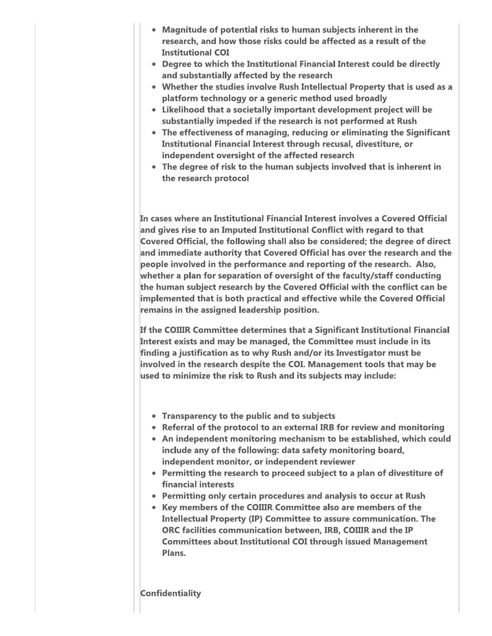- Magnitude of potential risks to human subjects inherent in the research, and how those risks could be affected as a result of the **Institutional COI**
- Degree to which the Institutional Financial Interest could be directly and substantially affected by the research
- Whether the studies involve Rush Intellectual Property that is used as a platform technology or a generic method used broadly
- Likelihood that a societally important development project will be substantially impeded if the research is not performed at Rush
- The effectiveness of managing, reducing or eliminating the Significant Institutional Financial Interest through recusal, divestiture, or independent oversight of the affected research
- The degree of risk to the human subjects involved that is inherent in the research protocol

In cases where an Institutional Financial Interest involves a Covered Official and gives rise to an Imputed Institutional Conflict with regard to that Covered Official, the following shall also be considered; the degree of direct and immediate authority that Covered Official has over the research and the people involved in the performance and reporting of the research. Also, whether a plan for separation of oversight of the faculty/staff conducting the human subject research by the Covered Official with the conflict can be implemented that is both practical and effective while the Covered Official remains in the assigned leadership position.

If the COIIIR Committee determines that a Significant Institutional Financial Interest exists and may be managed, the Committee must include in its finding a justification as to why Rush and/or its Investigator must be involved in the research despite the COI. Management tools that may be used to minimize the risk to Rush and its subjects may include:

- Transparency to the public and to subjects
- Referral of the protocol to an external IRB for review and monitoring
- An independent monitoring mechanism to be established, which could include any of the following: data safety monitoring board, independent monitor, or independent reviewer
- Permitting the research to proceed subject to a plan of divestiture of financial interests
- Permitting only certain procedures and analysis to occur at Rush
- Key members of the COIIIR Committee also are members of the Intellectual Property (IP) Committee to assure communication. The ORC facilities communication between, IRB, COIIIR and the IP **Committees about Institutional COI through issued Management** Plans.

## **Confidentiality**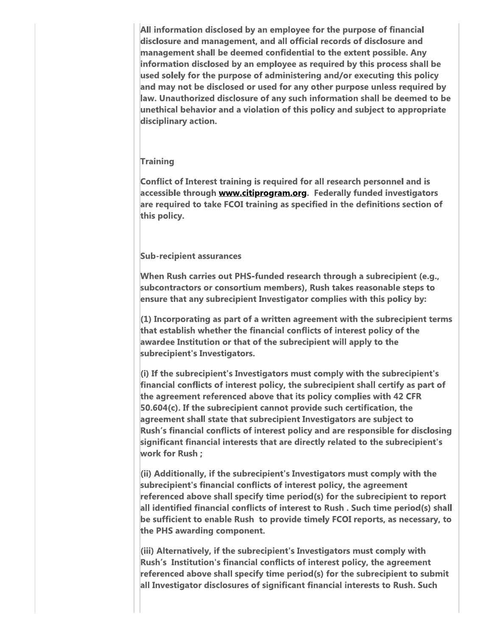All information disclosed by an employee for the purpose of financial disclosure and management, and all official records of disclosure and management shall be deemed confidential to the extent possible. Any information disclosed by an employee as required by this process shall be used solely for the purpose of administering and/or executing this policy and may not be disclosed or used for any other purpose unless required by law. Unauthorized disclosure of any such information shall be deemed to be unethical behavior and a violation of this policy and subject to appropriate disciplinary action.

## **Training**

Conflict of Interest training is required for all research personnel and is accessible through www.citiprogram.org. Federally funded investigators are required to take FCOI training as specified in the definitions section of this policy.

### **Sub-recipient assurances**

When Rush carries out PHS-funded research through a subrecipient (e.g., subcontractors or consortium members), Rush takes reasonable steps to ensure that any subrecipient Investigator complies with this policy by:

 $(1)$  Incorporating as part of a written agreement with the subrecipient terms that establish whether the financial conflicts of interest policy of the awardee Institution or that of the subrecipient will apply to the subrecipient's Investigators.

(i) If the subrecipient's Investigators must comply with the subrecipient's financial conflicts of interest policy, the subrecipient shall certify as part of the agreement referenced above that its policy complies with 42 CFR 50.604(c). If the subrecipient cannot provide such certification, the agreement shall state that subrecipient Investigators are subject to Rush's financial conflicts of interest policy and are responsible for disclosing significant financial interests that are directly related to the subrecipient's work for Rush;

(ii) Additionally, if the subrecipient's Investigators must comply with the subrecipient's financial conflicts of interest policy, the agreement referenced above shall specify time period(s) for the subrecipient to report all identified financial conflicts of interest to Rush. Such time period(s) shall be sufficient to enable Rush to provide timely FCOI reports, as necessary, to the PHS awarding component.

(iii) Alternatively, if the subrecipient's Investigators must comply with Rush's Institution's financial conflicts of interest policy, the agreement referenced above shall specify time period(s) for the subrecipient to submit all Investigator disclosures of significant financial interests to Rush. Such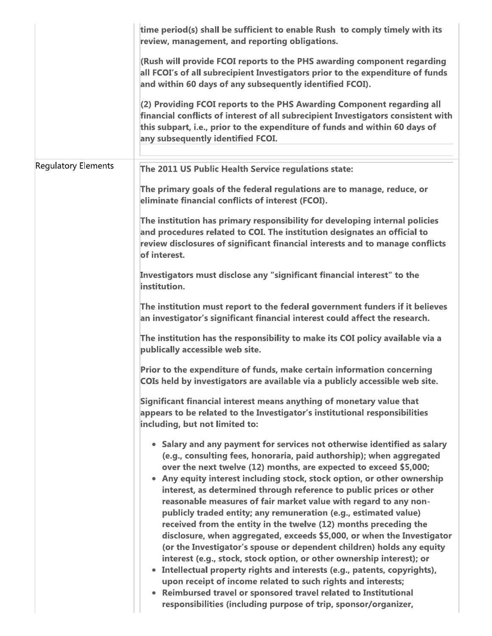| time period(s) shall be sufficient to enable Rush to comply timely with its<br>review, management, and reporting obligations.                                                                                                                                                                                                                                                                                                                                                                                                                                                                                                                                                                                                                                                                                                                                                                                                                                                                                                                                                                     |
|---------------------------------------------------------------------------------------------------------------------------------------------------------------------------------------------------------------------------------------------------------------------------------------------------------------------------------------------------------------------------------------------------------------------------------------------------------------------------------------------------------------------------------------------------------------------------------------------------------------------------------------------------------------------------------------------------------------------------------------------------------------------------------------------------------------------------------------------------------------------------------------------------------------------------------------------------------------------------------------------------------------------------------------------------------------------------------------------------|
| (Rush will provide FCOI reports to the PHS awarding component regarding<br>all FCOI's of all subrecipient Investigators prior to the expenditure of funds<br>and within 60 days of any subsequently identified FCOI).                                                                                                                                                                                                                                                                                                                                                                                                                                                                                                                                                                                                                                                                                                                                                                                                                                                                             |
| (2) Providing FCOI reports to the PHS Awarding Component regarding all<br>financial conflicts of interest of all subrecipient Investigators consistent with<br>this subpart, i.e., prior to the expenditure of funds and within 60 days of<br>any subsequently identified FCOI.                                                                                                                                                                                                                                                                                                                                                                                                                                                                                                                                                                                                                                                                                                                                                                                                                   |
| The 2011 US Public Health Service regulations state:                                                                                                                                                                                                                                                                                                                                                                                                                                                                                                                                                                                                                                                                                                                                                                                                                                                                                                                                                                                                                                              |
| The primary goals of the federal regulations are to manage, reduce, or<br>eliminate financial conflicts of interest (FCOI).                                                                                                                                                                                                                                                                                                                                                                                                                                                                                                                                                                                                                                                                                                                                                                                                                                                                                                                                                                       |
| The institution has primary responsibility for developing internal policies<br>and procedures related to COI. The institution designates an official to<br>review disclosures of significant financial interests and to manage conflicts<br>of interest.                                                                                                                                                                                                                                                                                                                                                                                                                                                                                                                                                                                                                                                                                                                                                                                                                                          |
| Investigators must disclose any "significant financial interest" to the<br>institution.                                                                                                                                                                                                                                                                                                                                                                                                                                                                                                                                                                                                                                                                                                                                                                                                                                                                                                                                                                                                           |
| The institution must report to the federal government funders if it believes<br>an investigator's significant financial interest could affect the research.                                                                                                                                                                                                                                                                                                                                                                                                                                                                                                                                                                                                                                                                                                                                                                                                                                                                                                                                       |
| The institution has the responsibility to make its COI policy available via a<br>publically accessible web site.                                                                                                                                                                                                                                                                                                                                                                                                                                                                                                                                                                                                                                                                                                                                                                                                                                                                                                                                                                                  |
| Prior to the expenditure of funds, make certain information concerning<br>COIs held by investigators are available via a publicly accessible web site.                                                                                                                                                                                                                                                                                                                                                                                                                                                                                                                                                                                                                                                                                                                                                                                                                                                                                                                                            |
| Significant financial interest means anything of monetary value that<br>appears to be related to the Investigator's institutional responsibilities<br>including, but not limited to:                                                                                                                                                                                                                                                                                                                                                                                                                                                                                                                                                                                                                                                                                                                                                                                                                                                                                                              |
| • Salary and any payment for services not otherwise identified as salary<br>(e.g., consulting fees, honoraria, paid authorship); when aggregated<br>over the next twelve (12) months, are expected to exceed \$5,000;<br>• Any equity interest including stock, stock option, or other ownership<br>interest, as determined through reference to public prices or other<br>reasonable measures of fair market value with regard to any non-<br>publicly traded entity; any remuneration (e.g., estimated value)<br>received from the entity in the twelve (12) months preceding the<br>disclosure, when aggregated, exceeds \$5,000, or when the Investigator<br>(or the Investigator's spouse or dependent children) holds any equity<br>interest (e.g., stock, stock option, or other ownership interest); or<br>Intellectual property rights and interests (e.g., patents, copyrights),<br>upon receipt of income related to such rights and interests;<br>• Reimbursed travel or sponsored travel related to Institutional<br>responsibilities (including purpose of trip, sponsor/organizer, |
|                                                                                                                                                                                                                                                                                                                                                                                                                                                                                                                                                                                                                                                                                                                                                                                                                                                                                                                                                                                                                                                                                                   |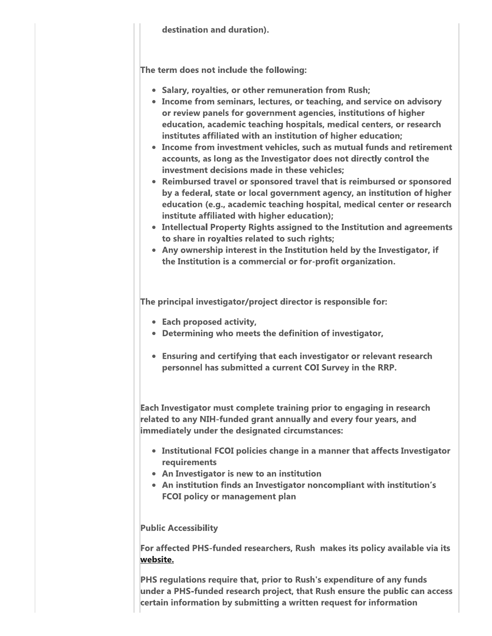destination and duration).

The term does not include the following:

- Salary, royalties, or other remuneration from Rush;
- Income from seminars, lectures, or teaching, and service on advisory or review panels for government agencies, institutions of higher education, academic teaching hospitals, medical centers, or research institutes affiliated with an institution of higher education;
- Income from investment vehicles, such as mutual funds and retirement accounts, as long as the Investigator does not directly control the investment decisions made in these vehicles:
- Reimbursed travel or sponsored travel that is reimbursed or sponsored by a federal, state or local government agency, an institution of higher education (e.g., academic teaching hospital, medical center or research institute affiliated with higher education);
- Intellectual Property Rights assigned to the Institution and agreements to share in royalties related to such rights;
- Any ownership interest in the Institution held by the Investigator, if the Institution is a commercial or for-profit organization.

The principal investigator/project director is responsible for:

- Each proposed activity,
- Determining who meets the definition of investigator,
- Ensuring and certifying that each investigator or relevant research personnel has submitted a current COI Survey in the RRP.

Each Investigator must complete training prior to engaging in research related to any NIH-funded grant annually and every four years, and immediately under the designated circumstances:

- Institutional FCOI policies change in a manner that affects Investigator requirements
- An Investigator is new to an institution
- An institution finds an Investigator noncompliant with institution's **FCOI policy or management plan**

## **Public Accessibility**

For affected PHS-funded researchers, Rush makes its policy available via its website.

PHS regulations require that, prior to Rush's expenditure of any funds under a PHS-funded research project, that Rush ensure the public can access certain information by submitting a written request for information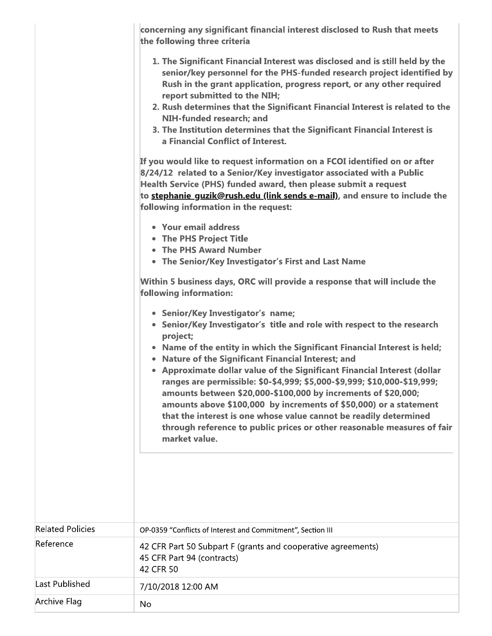concerning any significant financial interest disclosed to Rush that meets the following three criteria

| 1. The Significant Financial Interest was disclosed and is still held by the |
|------------------------------------------------------------------------------|
| senior/key personnel for the PHS-funded research project identified by       |
| Rush in the grant application, progress report, or any other required        |
| report submitted to the NIH;                                                 |

- 2. Rush determines that the Significant Financial Interest is related to the NIH-funded research; and
- 3. The Institution determines that the Significant Financial Interest is a Financial Conflict of Interest.

If you would like to request information on a FCOI identified on or after 8/24/12 related to a Senior/Key investigator associated with a Public Health Service (PHS) funded award, then please submit a request to stephanie quzik@rush.edu (link sends e-mail), and ensure to include the following information in the request:

- Your email address
- The PHS Project Title
- The PHS Award Number
- The Senior/Key Investigator's First and Last Name

Within 5 business days, ORC will provide a response that will include the following information:

- Senior/Key Investigator's name;
- Senior/Key Investigator's title and role with respect to the research project;
- Name of the entity in which the Significant Financial Interest is held;
- Nature of the Significant Financial Interest; and
- Approximate dollar value of the Significant Financial Interest (dollar ranges are permissible: \$0-\$4,999; \$5,000-\$9,999; \$10,000-\$19,999; amounts between \$20,000-\$100,000 by increments of \$20,000; amounts above \$100,000 by increments of \$50,000) or a statement that the interest is one whose value cannot be readily determined through reference to public prices or other reasonable measures of fair market value.

| <b>Related Policies</b> | OP-0359 "Conflicts of Interest and Commitment", Section III                                             |
|-------------------------|---------------------------------------------------------------------------------------------------------|
| Reference               | 42 CFR Part 50 Subpart F (grants and cooperative agreements)<br>45 CFR Part 94 (contracts)<br>42 CFR 50 |
| Last Published          | 7/10/2018 12:00 AM                                                                                      |
| Archive Flag            | No.                                                                                                     |